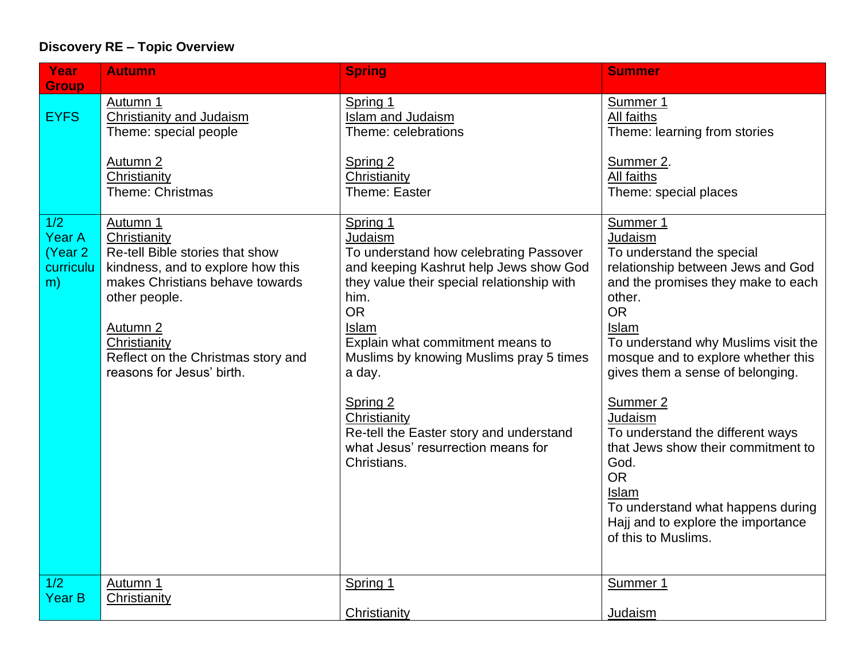## **Discovery RE – Topic Overview**

| Year                                                | <b>Autumn</b>                                                                                                                                                                                                                                                  | <b>Spring</b>                                                                                                                                                                                                                                                                                                                                                                                            | <b>Summer</b>                                                                                                                                                                                                                                                                                                                                                                                                                                                                                                 |
|-----------------------------------------------------|----------------------------------------------------------------------------------------------------------------------------------------------------------------------------------------------------------------------------------------------------------------|----------------------------------------------------------------------------------------------------------------------------------------------------------------------------------------------------------------------------------------------------------------------------------------------------------------------------------------------------------------------------------------------------------|---------------------------------------------------------------------------------------------------------------------------------------------------------------------------------------------------------------------------------------------------------------------------------------------------------------------------------------------------------------------------------------------------------------------------------------------------------------------------------------------------------------|
| <b>Group</b><br><b>EYFS</b>                         | Autumn 1<br>Christianity and Judaism<br>Theme: special people<br>Autumn 2<br>Christianity<br>Theme: Christmas                                                                                                                                                  | Spring 1<br>Islam and Judaism<br>Theme: celebrations<br>Spring 2<br>Christianity<br>Theme: Easter                                                                                                                                                                                                                                                                                                        | Summer 1<br>All faiths<br>Theme: learning from stories<br>Summer 2.<br>All faiths<br>Theme: special places                                                                                                                                                                                                                                                                                                                                                                                                    |
| 1/2<br><b>Year A</b><br>(Year 2)<br>curriculu<br>m) | Autumn 1<br>Christianity<br>Re-tell Bible stories that show<br>kindness, and to explore how this<br>makes Christians behave towards<br>other people.<br>Autumn <sub>2</sub><br>Christianity<br>Reflect on the Christmas story and<br>reasons for Jesus' birth. | Spring 1<br>Judaism<br>To understand how celebrating Passover<br>and keeping Kashrut help Jews show God<br>they value their special relationship with<br>him.<br><b>OR</b><br>Islam<br>Explain what commitment means to<br>Muslims by knowing Muslims pray 5 times<br>a day.<br>Spring 2<br>Christianity<br>Re-tell the Easter story and understand<br>what Jesus' resurrection means for<br>Christians. | Summer 1<br>Judaism<br>To understand the special<br>relationship between Jews and God<br>and the promises they make to each<br>other.<br><b>OR</b><br>Islam<br>To understand why Muslims visit the<br>mosque and to explore whether this<br>gives them a sense of belonging.<br>Summer 2<br>Judaism<br>To understand the different ways<br>that Jews show their commitment to<br>God.<br><b>OR</b><br>Islam<br>To understand what happens during<br>Hajj and to explore the importance<br>of this to Muslims. |
| 1/2<br><b>Year B</b>                                | Autumn 1<br>Christianity                                                                                                                                                                                                                                       | Spring 1<br>Christianity                                                                                                                                                                                                                                                                                                                                                                                 | Summer 1<br>Judaism                                                                                                                                                                                                                                                                                                                                                                                                                                                                                           |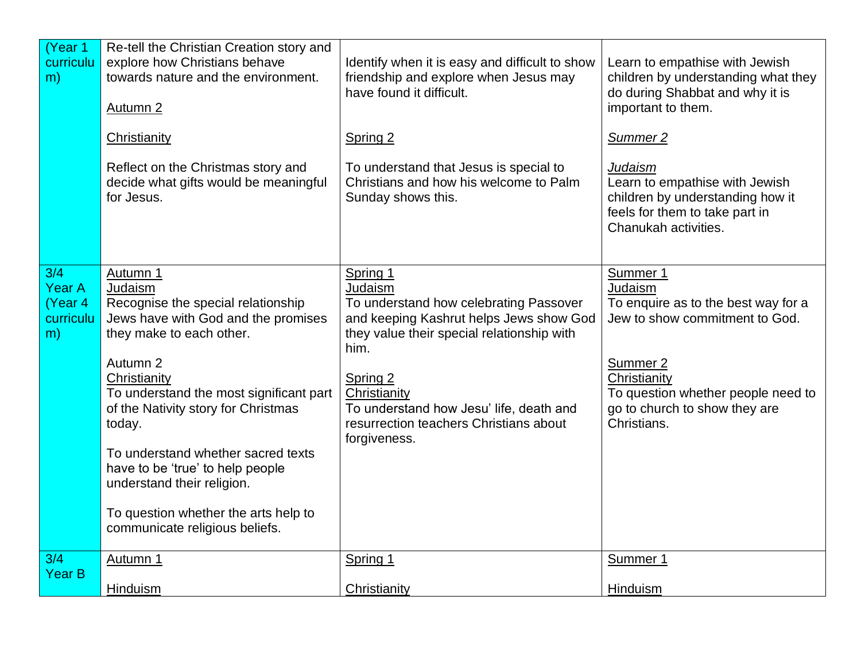| (Year 1<br>curriculu<br>m) | Re-tell the Christian Creation story and<br>explore how Christians behave<br>towards nature and the environment.<br>Autumn <sub>2</sub>                                                                                                                              | Identify when it is easy and difficult to show<br>friendship and explore when Jesus may<br>have found it difficult.                   | Learn to empathise with Jewish<br>children by understanding what they<br>do during Shabbat and why it is<br>important to them.                 |
|----------------------------|----------------------------------------------------------------------------------------------------------------------------------------------------------------------------------------------------------------------------------------------------------------------|---------------------------------------------------------------------------------------------------------------------------------------|------------------------------------------------------------------------------------------------------------------------------------------------|
|                            | Christianity                                                                                                                                                                                                                                                         | Spring 2                                                                                                                              | Summer 2                                                                                                                                       |
|                            | Reflect on the Christmas story and<br>decide what gifts would be meaningful<br>for Jesus.                                                                                                                                                                            | To understand that Jesus is special to<br>Christians and how his welcome to Palm<br>Sunday shows this.                                | <b>Judaism</b><br>Learn to empathise with Jewish<br>children by understanding how it<br>feels for them to take part in<br>Chanukah activities. |
| 3/4                        | Autumn 1                                                                                                                                                                                                                                                             | Spring 1                                                                                                                              | Summer 1                                                                                                                                       |
| <b>Year A</b><br>(Year 4   | Judaism<br>Recognise the special relationship                                                                                                                                                                                                                        | Judaism<br>To understand how celebrating Passover                                                                                     | Judaism<br>To enquire as to the best way for a                                                                                                 |
| curriculu                  | Jews have with God and the promises                                                                                                                                                                                                                                  | and keeping Kashrut helps Jews show God                                                                                               | Jew to show commitment to God.                                                                                                                 |
| m)                         | they make to each other.                                                                                                                                                                                                                                             | they value their special relationship with                                                                                            |                                                                                                                                                |
|                            | Autumn 2<br>Christianity<br>To understand the most significant part<br>of the Nativity story for Christmas<br>today.<br>To understand whether sacred texts<br>have to be 'true' to help people<br>understand their religion.<br>To question whether the arts help to | him.<br>Spring 2<br>Christianity<br>To understand how Jesu' life, death and<br>resurrection teachers Christians about<br>forgiveness. | Summer 2<br>Christianity<br>To question whether people need to<br>go to church to show they are<br>Christians.                                 |
|                            | communicate religious beliefs.                                                                                                                                                                                                                                       |                                                                                                                                       |                                                                                                                                                |
| 3/4<br><b>Year B</b>       | Autumn 1                                                                                                                                                                                                                                                             | Spring 1                                                                                                                              | Summer 1                                                                                                                                       |
|                            | Hinduism                                                                                                                                                                                                                                                             | Christianity                                                                                                                          | Hinduism                                                                                                                                       |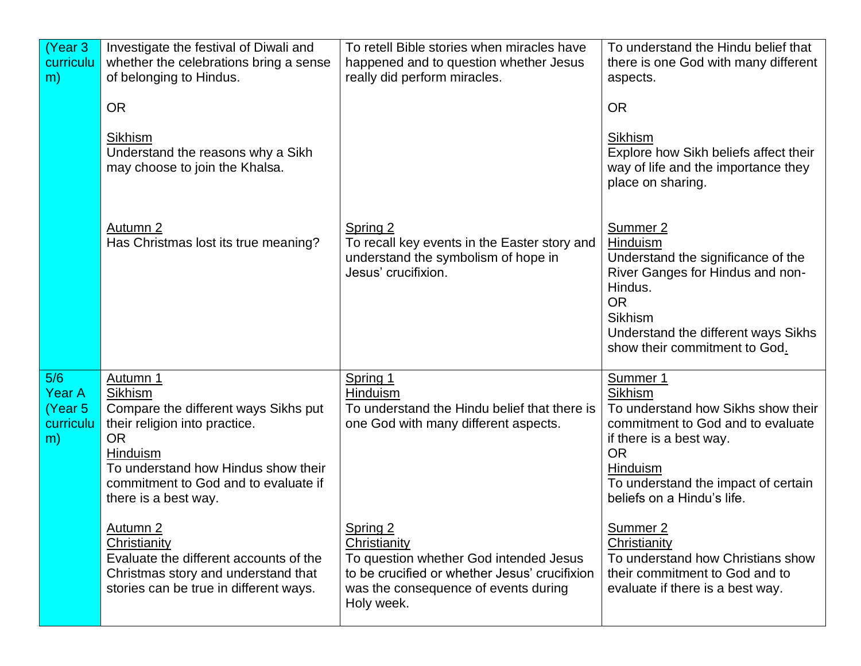| (Year 3)<br>curriculu<br>m)                         | Investigate the festival of Diwali and<br>whether the celebrations bring a sense<br>of belonging to Hindus.                                                                                                                  | To retell Bible stories when miracles have<br>happened and to question whether Jesus<br>really did perform miracles.                                                      | To understand the Hindu belief that<br>there is one God with many different<br>aspects.                                                                                                                                        |
|-----------------------------------------------------|------------------------------------------------------------------------------------------------------------------------------------------------------------------------------------------------------------------------------|---------------------------------------------------------------------------------------------------------------------------------------------------------------------------|--------------------------------------------------------------------------------------------------------------------------------------------------------------------------------------------------------------------------------|
|                                                     | <b>OR</b><br>Sikhism<br>Understand the reasons why a Sikh<br>may choose to join the Khalsa.                                                                                                                                  |                                                                                                                                                                           | <b>OR</b><br>Sikhism<br>Explore how Sikh beliefs affect their<br>way of life and the importance they<br>place on sharing.                                                                                                      |
|                                                     | Autumn 2<br>Has Christmas lost its true meaning?                                                                                                                                                                             | Spring 2<br>To recall key events in the Easter story and<br>understand the symbolism of hope in<br>Jesus' crucifixion.                                                    | Summer 2<br>Hinduism<br>Understand the significance of the<br>River Ganges for Hindus and non-<br>Hindus.<br><b>OR</b><br><b>Sikhism</b><br>Understand the different ways Sikhs<br>show their commitment to God.               |
| 5/6<br><b>Year A</b><br>(Year 5)<br>curriculu<br>m) | Autumn 1<br>Sikhism<br>Compare the different ways Sikhs put<br>their religion into practice.<br><b>OR</b><br>Hinduism<br>To understand how Hindus show their<br>commitment to God and to evaluate if<br>there is a best way. | Spring 1<br>Hinduism<br>To understand the Hindu belief that there is<br>one God with many different aspects.                                                              | Summer 1<br><b>Sikhism</b><br>To understand how Sikhs show their<br>commitment to God and to evaluate<br>if there is a best way.<br><b>OR</b><br>Hinduism<br>To understand the impact of certain<br>beliefs on a Hindu's life. |
|                                                     | Autumn 2<br>Christianity<br>Evaluate the different accounts of the<br>Christmas story and understand that<br>stories can be true in different ways.                                                                          | Spring 2<br>Christianity<br>To question whether God intended Jesus<br>to be crucified or whether Jesus' crucifixion<br>was the consequence of events during<br>Holy week. | Summer 2<br>Christianity<br>To understand how Christians show<br>their commitment to God and to<br>evaluate if there is a best way.                                                                                            |